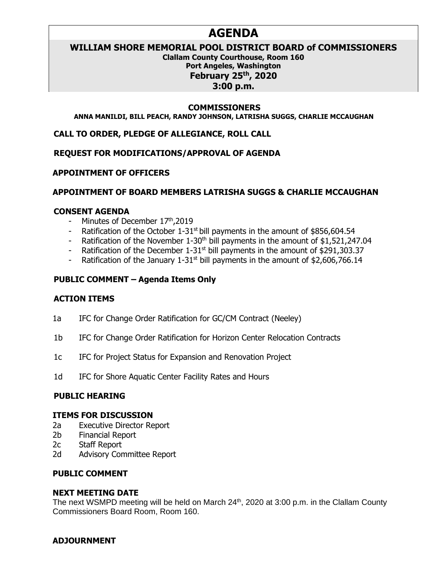## **AGENDA**

### **WILLIAM SHORE MEMORIAL POOL DISTRICT BOARD of COMMISSIONERS**

**Clallam County Courthouse, Room 160 Port Angeles, Washington February 25th, 2020 3:00 p.m.**

#### **COMMISSIONERS**

**ANNA MANILDI, BILL PEACH, RANDY JOHNSON, LATRISHA SUGGS, CHARLIE MCCAUGHAN**

**CALL TO ORDER, PLEDGE OF ALLEGIANCE, ROLL CALL**

**REQUEST FOR MODIFICATIONS/APPROVAL OF AGENDA** 

#### **APPOINTMENT OF OFFICERS**

#### **APPOINTMENT OF BOARD MEMBERS LATRISHA SUGGS & CHARLIE MCCAUGHAN**

#### **CONSENT AGENDA**

- Minutes of December 17th, 2019
- Ratification of the October  $1-31$ <sup>st</sup> bill payments in the amount of \$856,604.54
- Ratification of the November  $1-30<sup>th</sup>$  bill payments in the amount of \$1,521,247.04
- Ratification of the December  $1-31$ <sup>st</sup> bill payments in the amount of \$291,303.37
- Ratification of the January  $1-31$ <sup>st</sup> bill payments in the amount of \$2,606,766.14

### **PUBLIC COMMENT – Agenda Items Only**

#### **ACTION ITEMS**

- 1a IFC for Change Order Ratification for GC/CM Contract (Neeley)
- 1b IFC for Change Order Ratification for Horizon Center Relocation Contracts
- 1c IFC for Project Status for Expansion and Renovation Project
- 1d IFC for Shore Aquatic Center Facility Rates and Hours

#### **PUBLIC HEARING**

#### **ITEMS FOR DISCUSSION**

- 2a Executive Director Report
- 2b Financial Report
- 2c Staff Report
- 2d Advisory Committee Report

#### **PUBLIC COMMENT**

#### **NEXT MEETING DATE**

The next WSMPD meeting will be held on March 24<sup>th</sup>, 2020 at 3:00 p.m. in the Clallam County Commissioners Board Room, Room 160.

#### **ADJOURNMENT**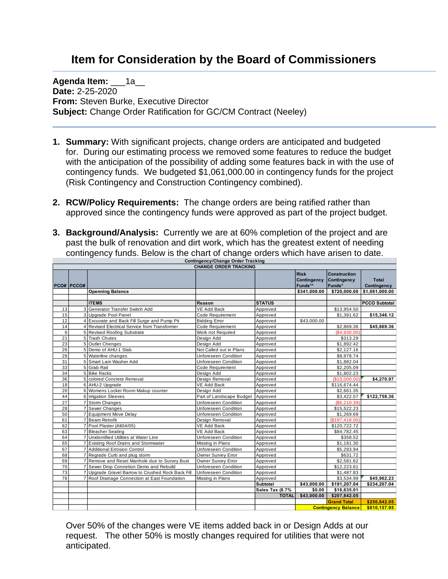# **Item for Consideration by the Board of Commissioners**

**Agenda Item: 1a Date:** 2-25-2020 **From:** Steven Burke, Executive Director **Subject:** Change Order Ratification for GC/CM Contract (Neeley)

- **1. Summary:** With significant projects, change orders are anticipated and budgeted for. During our estimating process we removed some features to reduce the budget with the anticipation of the possibility of adding some features back in with the use of contingency funds. We budgeted \$1,061,000.00 in contingency funds for the project (Risk Contingency and Construction Contingency combined).
- **2. RCW/Policy Requirements:** The change orders are being ratified rather than approved since the contingency funds were approved as part of the project budget.
- **3. Background/Analysis:** Currently we are at 60% completion of the project and are past the bulk of renovation and dirt work, which has the greatest extent of needing contingency funds. Below is the chart of change orders which have arisen to date.

|    | Contingency/Change Order Tracking |                                                 |                              |                 |                                       |                                              |                          |  |  |  |  |  |  |  |
|----|-----------------------------------|-------------------------------------------------|------------------------------|-----------------|---------------------------------------|----------------------------------------------|--------------------------|--|--|--|--|--|--|--|
|    |                                   |                                                 | <b>CHANGE ORDER TRACKING</b> |                 |                                       |                                              |                          |  |  |  |  |  |  |  |
|    | <b>PCO# PCCO#</b>                 |                                                 |                              |                 | <b>Risk</b><br>Contingency<br>Funds** | <b>Construction</b><br>Contingency<br>Funds* | Total<br>Contingency     |  |  |  |  |  |  |  |
|    |                                   | <b>Openning Balance</b>                         |                              |                 | \$341,000.00                          | \$720,000.00                                 | \$1,061,000.00           |  |  |  |  |  |  |  |
|    |                                   |                                                 |                              |                 |                                       |                                              |                          |  |  |  |  |  |  |  |
|    |                                   | <b>ITEMS</b>                                    | Reason                       | <b>STATUS</b>   |                                       |                                              | <b>PCCO Subtotal</b>     |  |  |  |  |  |  |  |
| 13 | 3                                 | Generator Transfer Switch Add                   | <b>VE Add Back</b>           | Approved        |                                       | \$13,954.50                                  |                          |  |  |  |  |  |  |  |
| 15 |                                   | 3 Upgrade Pool Panel                            | Code Requirement             | Approved        |                                       | \$1,391.62                                   | \$15,346.12              |  |  |  |  |  |  |  |
| 12 |                                   | 4 Excuvate and Back Fill Surge and Pump Pit     | <b>Bidding Error</b>         | Approved        | \$43,000.00                           |                                              |                          |  |  |  |  |  |  |  |
| 14 | $\overline{\mathbf{4}}$           | Revised Electrical Service from Transformer     | Code Requirement             | Approved        |                                       | \$2,869.36                                   | \$45,869.36              |  |  |  |  |  |  |  |
| 6  |                                   | 5 Revised Roofing Substrate                     | Work not Required            | Approved        |                                       | (\$4,930.00)                                 |                          |  |  |  |  |  |  |  |
| 21 |                                   | 5 Trash Chutes                                  | Design Add                   | Approved        |                                       | \$313.29                                     |                          |  |  |  |  |  |  |  |
| 23 |                                   | 5 Outlet Chenges                                | Design Add                   | Approved        |                                       | \$1,892.42                                   |                          |  |  |  |  |  |  |  |
| 26 |                                   | 5 Demo of AHU-1 Slab                            | Not Called out in Plans      | Approved        |                                       | \$2,127.16                                   |                          |  |  |  |  |  |  |  |
| 29 |                                   | 5 Waterline changes                             | <b>Unforeseen Condition</b>  | Approved        |                                       | \$8,978.74                                   |                          |  |  |  |  |  |  |  |
| 31 |                                   | 5 Smart Lam Washer Add                          | Unforeseen Condition         | Approved        |                                       | \$1,882.04                                   |                          |  |  |  |  |  |  |  |
| 33 |                                   | 5 Grab Rail                                     | Code Requirement             | Approved        |                                       | \$2,205.09                                   |                          |  |  |  |  |  |  |  |
| 34 |                                   | 5 Bike Racks                                    | Design Add                   | Approved        |                                       | \$1,802.23                                   |                          |  |  |  |  |  |  |  |
| 36 |                                   | 5 colored Concrete Removal                      | Design Removal               | Approved        |                                       | (\$10,000.00]                                | \$4,270.97               |  |  |  |  |  |  |  |
| 18 |                                   | 6 AHU-2 Upgrade                                 | <b>VE Add Back</b>           | Approved        |                                       | \$116,674.44                                 |                          |  |  |  |  |  |  |  |
| 20 |                                   | 6 Womens Locker Room Makup counter              | Design Add                   | Approved        |                                       | \$2,661.35                                   |                          |  |  |  |  |  |  |  |
| 44 |                                   | 6 Irrigation Sleeves                            | Part of Landscape Budget     | Approved        |                                       | \$3,422.57                                   | $\overline{$122,758.36}$ |  |  |  |  |  |  |  |
| 27 | $\overline{7}$                    | <b>Storm Changes</b>                            | <b>Unforeseen Condition</b>  | Approved        |                                       | (S6, 210.39)                                 |                          |  |  |  |  |  |  |  |
| 28 | 7                                 | Sewer Changes                                   | <b>Unforeseen Condition</b>  | Approved        |                                       | \$15,522.23                                  |                          |  |  |  |  |  |  |  |
| 50 | $\overline{7}$                    | <b>Equipment Move Delay</b>                     | <b>Unforeseen Condition</b>  | Approved        |                                       | \$1,269.69                                   |                          |  |  |  |  |  |  |  |
| 61 |                                   | 7 Beam Retrofit                                 | Design Removal               | Approved        |                                       | (\$197,418.00)                               |                          |  |  |  |  |  |  |  |
| 62 | $\overline{7}$                    | Pool Plaster (Alt04/05)                         | <b>VE Add Back</b>           | Approved        |                                       | \$120,722.72                                 |                          |  |  |  |  |  |  |  |
| 63 |                                   | 7 Bleacher Seating                              | <b>VE Add Back</b>           | Approved        |                                       | \$84,782.45                                  |                          |  |  |  |  |  |  |  |
| 64 | $\overline{7}$                    | Unidentified Utilities at Water Line            | <b>Unforeseen Condition</b>  | Approved        |                                       | \$358.52                                     |                          |  |  |  |  |  |  |  |
| 65 |                                   | 7 Existing Roof Drains and Stormwater           | Missing in Plans             | Approved        |                                       | \$1,181.30                                   |                          |  |  |  |  |  |  |  |
| 67 |                                   | 7 Additional Errosion Control                   | <b>Unforeseen Condition</b>  | Approved        |                                       | \$5.293.94                                   |                          |  |  |  |  |  |  |  |
| 68 |                                   | 7 Regrade Curb and plug storm                   | Owner Survey Error           | Approved        |                                       | \$631.72                                     |                          |  |  |  |  |  |  |  |
| 69 | $\overline{7}$                    | Remove and Reset Manhole due to Survey Bust     | Owner Survey Error           | Approved        |                                       | \$2,581.62                                   |                          |  |  |  |  |  |  |  |
| 70 |                                   | 7 Sewer Drop Connetion Demo and Rebuild         | <b>Unforeseen Condition</b>  | Approved        |                                       | \$12,223.61                                  |                          |  |  |  |  |  |  |  |
| 73 | $\overline{7}$                    | Upgrade Gravel Barrow to Crushed Rock Back Fill | <b>Unforeseen Condition</b>  | Approved        |                                       | \$1,487.83                                   |                          |  |  |  |  |  |  |  |
| 76 |                                   | 7 Roof Drainage Connection at East Foundation   | Missing in Plans             | Approved        |                                       | \$3,534.99                                   | \$45,962.23              |  |  |  |  |  |  |  |
|    |                                   |                                                 |                              | Subtotal        | \$43,000.00                           | \$191,207.04                                 | \$234,207.04             |  |  |  |  |  |  |  |
|    |                                   |                                                 |                              | Sales Tax (8.7% | \$0.00                                | \$16,635.01                                  |                          |  |  |  |  |  |  |  |
|    |                                   |                                                 |                              | <b>TOTAL</b>    | \$43,000.00                           | \$207,842.05                                 |                          |  |  |  |  |  |  |  |
|    |                                   |                                                 |                              |                 |                                       | <b>Grand Total</b><br>\$250,842.05           |                          |  |  |  |  |  |  |  |
|    |                                   |                                                 |                              |                 |                                       | <b>Contingency Balance</b>                   | \$810,157.95             |  |  |  |  |  |  |  |

Over 50% of the changes were VE items added back in or Design Adds at our request. The other 50% is mostly changes required for utilities that were not anticipated.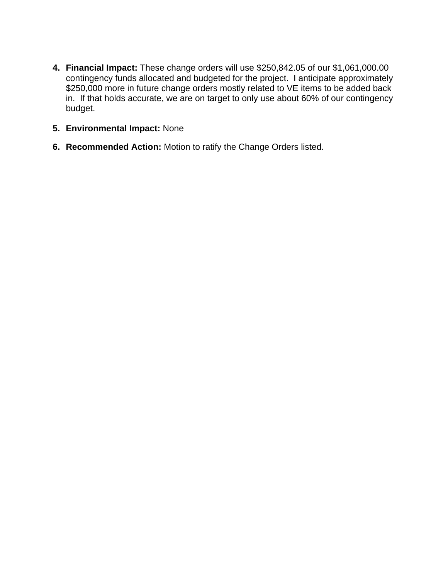- **4. Financial Impact:** These change orders will use \$250,842.05 of our \$1,061,000.00 contingency funds allocated and budgeted for the project. I anticipate approximately \$250,000 more in future change orders mostly related to VE items to be added back in. If that holds accurate, we are on target to only use about 60% of our contingency budget.
- **5. Environmental Impact:** None
- **6. Recommended Action:** Motion to ratify the Change Orders listed.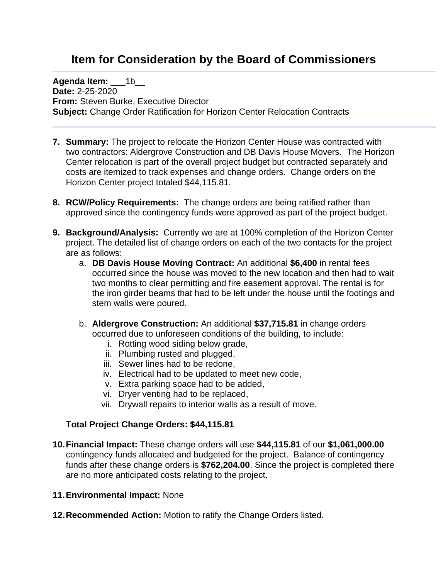# **Item for Consideration by the Board of Commissioners**

**Agenda Item:** 1b **Date:** 2-25-2020 **From:** Steven Burke, Executive Director **Subject:** Change Order Ratification for Horizon Center Relocation Contracts

- **7. Summary:** The project to relocate the Horizon Center House was contracted with two contractors: Aldergrove Construction and DB Davis House Movers. The Horizon Center relocation is part of the overall project budget but contracted separately and costs are itemized to track expenses and change orders. Change orders on the Horizon Center project totaled \$44,115.81.
- **8. RCW/Policy Requirements:** The change orders are being ratified rather than approved since the contingency funds were approved as part of the project budget.
- **9. Background/Analysis:** Currently we are at 100% completion of the Horizon Center project. The detailed list of change orders on each of the two contacts for the project are as follows:
	- a. **DB Davis House Moving Contract:** An additional **\$6,400** in rental fees occurred since the house was moved to the new location and then had to wait two months to clear permitting and fire easement approval. The rental is for the iron girder beams that had to be left under the house until the footings and stem walls were poured.
	- b. **Aldergrove Construction:** An additional **\$37,715.81** in change orders occurred due to unforeseen conditions of the building, to include:
		- i. Rotting wood siding below grade,
		- ii. Plumbing rusted and plugged,
		- iii. Sewer lines had to be redone,
		- iv. Electrical had to be updated to meet new code,
		- v. Extra parking space had to be added,
		- vi. Dryer venting had to be replaced,
		- vii. Drywall repairs to interior walls as a result of move.

### **Total Project Change Orders: \$44,115.81**

- **10.Financial Impact:** These change orders will use **\$44,115.81** of our **\$1,061,000.00** contingency funds allocated and budgeted for the project. Balance of contingency funds after these change orders is **\$762,204.00**. Since the project is completed there are no more anticipated costs relating to the project.
- **11.Environmental Impact:** None
- **12.Recommended Action:** Motion to ratify the Change Orders listed.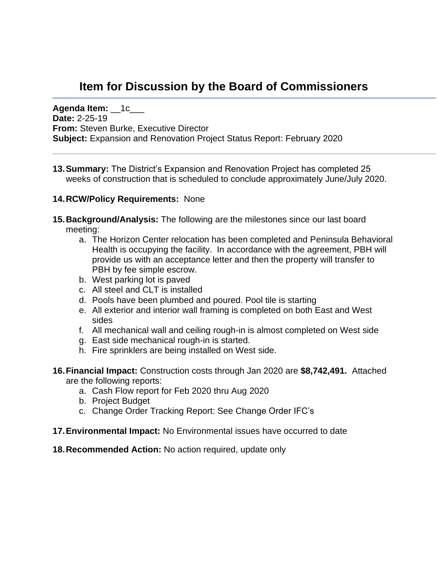# **Item for Discussion by the Board of Commissioners**

**Agenda Item:** \_\_1c\_\_\_ **Date:** 2-25-19 **From:** Steven Burke, Executive Director **Subject:** Expansion and Renovation Project Status Report: February 2020

**13.Summary:** The District's Expansion and Renovation Project has completed 25 weeks of construction that is scheduled to conclude approximately June/July 2020.

### **14.RCW/Policy Requirements:** None

- **15.Background/Analysis:** The following are the milestones since our last board meeting:
	- a. The Horizon Center relocation has been completed and Peninsula Behavioral Health is occupying the facility. In accordance with the agreement, PBH will provide us with an acceptance letter and then the property will transfer to PBH by fee simple escrow.
	- b. West parking lot is paved
	- c. All steel and CLT is installed
	- d. Pools have been plumbed and poured. Pool tile is starting
	- e. All exterior and interior wall framing is completed on both East and West sides
	- f. All mechanical wall and ceiling rough-in is almost completed on West side
	- g. East side mechanical rough-in is started.
	- h. Fire sprinklers are being installed on West side.
- **16.Financial Impact:** Construction costs through Jan 2020 are **\$8,742,491.** Attached are the following reports:
	- a. Cash Flow report for Feb 2020 thru Aug 2020
	- b. Project Budget
	- c. Change Order Tracking Report: See Change Order IFC's
- **17.Environmental Impact:** No Environmental issues have occurred to date

**18.Recommended Action:** No action required, update only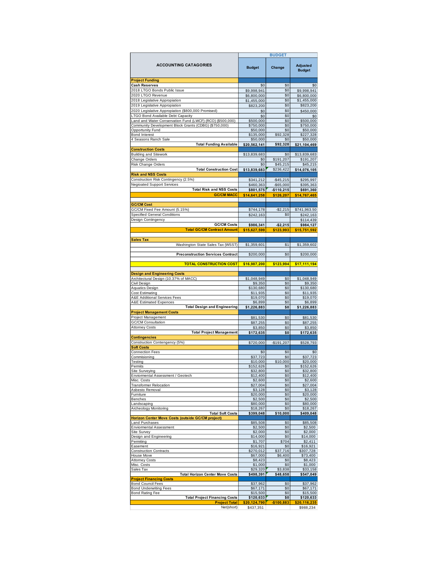|                                                                              | <b>BUDGET</b>             |                     |                           |  |  |  |  |  |
|------------------------------------------------------------------------------|---------------------------|---------------------|---------------------------|--|--|--|--|--|
| <b>ACCOUNTING CATAGORIES</b>                                                 | <b>Budget</b>             | Change              | Adjusted<br><b>Budget</b> |  |  |  |  |  |
| <b>Project Funding</b>                                                       |                           |                     |                           |  |  |  |  |  |
| <b>Cash Reserves</b>                                                         | \$0                       | \$0                 | \$0                       |  |  |  |  |  |
| 2018 LTGO Bonds Public Issue                                                 | \$9,998,941               | \$0                 | \$9,998,941               |  |  |  |  |  |
| 2020 LTGO Revenue<br>2018 Legislative Appropiation                           | \$6,800,000               | \$0<br>\$0          | \$6,800,000               |  |  |  |  |  |
| 2019 Legislative Appropiation                                                | \$1,455,000<br>\$823,200  | \$0                 | \$1,455,000<br>\$823,200  |  |  |  |  |  |
| 2020 Legislative Appropiation (\$800,000 Promised)                           | \$0                       | \$0                 | \$450,000                 |  |  |  |  |  |
| LTGO Bond Available Debt Capacity                                            | \$0                       | \$0                 | \$0                       |  |  |  |  |  |
| Land and Water Conservation Fund (LWCF) (RCO) (\$500,000)                    | \$500,000                 | \$0                 | \$500,000                 |  |  |  |  |  |
| Community Development Block Grants (CDBG) (\$750,000)                        | \$750,000                 | \$0                 | \$750,000                 |  |  |  |  |  |
| Opportunity Fund                                                             | \$50,000                  | \$0                 | \$50,000                  |  |  |  |  |  |
| Bond Interest                                                                | \$135,000                 | \$92,328            | \$227,328                 |  |  |  |  |  |
| 4 Seasons Ranch Sale<br><b>Total Funding Available</b>                       | \$50,000<br>\$20,562,141  | \$0<br>\$92,328     | \$50,000<br>\$21,104,469  |  |  |  |  |  |
| <b>Construction Costs</b>                                                    |                           |                     |                           |  |  |  |  |  |
| <b>Building and Sitework</b>                                                 | \$13,839,683              | \$0                 | \$13,839,683              |  |  |  |  |  |
| Change Orders                                                                | \$0                       | \$191,207           | \$191,207                 |  |  |  |  |  |
| Risk Change Orders                                                           | \$0                       | \$45,215            | \$45,215                  |  |  |  |  |  |
| <b>Total Construction Cost</b>                                               | \$13,839,683              | \$236,422           | \$14,076,105              |  |  |  |  |  |
| <b>Risk and NSS Costs</b><br>Construction Risk Contingency (2.5%)            | \$341,212                 | $-$ \$45,215        | \$295,997                 |  |  |  |  |  |
| <b>Negioated Support Services</b>                                            | \$460,363                 | $-$ \$65,000        | \$395,363                 |  |  |  |  |  |
| <b>Total Risk and NSS Costs</b>                                              | \$801,575                 | -\$110,215          | \$691,360                 |  |  |  |  |  |
| <b>GC/CM MACC</b>                                                            | \$14,641,258              | \$126,207           | \$14,767,465              |  |  |  |  |  |
| <b>GC/CM Cost</b>                                                            |                           |                     |                           |  |  |  |  |  |
| GC/CM Fixed Fee Amount (5.15%)                                               | \$744,178                 | $-$2,215$           | \$741,963.50              |  |  |  |  |  |
| <b>Specified General Conditions</b>                                          | \$242,163                 | \$0                 | \$242,163                 |  |  |  |  |  |
| Design Contingency                                                           |                           |                     | \$114,439                 |  |  |  |  |  |
| <b>GC/CM Costs</b>                                                           | \$986,341                 | $-$2,215$           | \$984,127                 |  |  |  |  |  |
| <b>Total GC/CM Contract Amount</b>                                           | \$15,627,599              | \$123.993           | \$15,751,592              |  |  |  |  |  |
|                                                                              |                           |                     |                           |  |  |  |  |  |
| <b>Sales Tax</b><br>Washington State Sales Tax (WSST)                        | \$1,359,601               | \$1                 | \$1,359,602               |  |  |  |  |  |
| <b>Preconstruction Services Contract</b>                                     | \$200,000                 | \$0                 | \$200,000                 |  |  |  |  |  |
| <b>TOTAL CONSTRUCTION COST</b>                                               | \$16,987,200              | \$123,994           | \$17,111,194              |  |  |  |  |  |
| <b>Design and Engineering Costs</b>                                          |                           |                     |                           |  |  |  |  |  |
| Architectural Design (10.37% of MACC)                                        | \$1,048,949               | \$0                 | \$1,048,949               |  |  |  |  |  |
| Civil Design                                                                 | \$9,350                   | \$0                 | \$9,350                   |  |  |  |  |  |
| Aquatics Design                                                              | \$130,680                 | \$0                 | \$130,680                 |  |  |  |  |  |
| Cost Estimating<br>A&E Additional Services Fees                              | \$11,935<br>\$19,070      | \$0<br>\$0          | \$11,935<br>\$19,070      |  |  |  |  |  |
| A&E Estimated Expences                                                       | \$6,899                   | \$0                 | \$6,899                   |  |  |  |  |  |
| <b>Total Design and Engineering</b>                                          | \$1,226,883               | \$0                 | \$1,226,883               |  |  |  |  |  |
| <b>Project Management Costs</b>                                              |                           |                     |                           |  |  |  |  |  |
| Project Management                                                           | \$81,530                  | \$0                 | \$81,530                  |  |  |  |  |  |
| <b>GC/CM Consultation</b>                                                    | \$87,255                  | \$0                 | \$87,255                  |  |  |  |  |  |
| <b>Attomey Costs</b>                                                         | \$3,850                   | \$0                 | \$3,850                   |  |  |  |  |  |
| <b>Total Project Management</b><br><b>Contingencies</b>                      | \$172,635                 | \$0                 | \$172,635                 |  |  |  |  |  |
| Construction Contengency (5%)                                                | \$720,000                 | $-$191,207$         | \$528,793                 |  |  |  |  |  |
| <b>Soft Costs</b>                                                            |                           |                     |                           |  |  |  |  |  |
| Connection Fees                                                              | \$0                       | \$0                 | \$0                       |  |  |  |  |  |
| Commisioning                                                                 | \$37,723                  | \$0                 | \$37,723                  |  |  |  |  |  |
| Testing<br>Permits                                                           | \$10,000<br>\$152,626     | \$10,000<br>\$0     | \$20,000<br>\$152,626     |  |  |  |  |  |
| Site Surveying                                                               | \$32,800                  | \$0                 | \$32,800                  |  |  |  |  |  |
| Enviormental Assessment / Geotech                                            | \$12,400                  | \$0                 | \$12,400                  |  |  |  |  |  |
| Misc. Costs                                                                  | \$2,600                   | 50                  | \$2,600                   |  |  |  |  |  |
| Transformer Relocation                                                       | \$27,004                  | \$0                 | \$27,004                  |  |  |  |  |  |
| Asbesto Removal<br>Furniture                                                 | \$3,128<br>\$20,000       | \$0<br>\$0          | \$3,128<br>\$20,000       |  |  |  |  |  |
| Benches                                                                      | \$2,500                   | \$0                 | \$2,500                   |  |  |  |  |  |
| Landscaping                                                                  | \$80,000                  | \$0                 | \$80,000                  |  |  |  |  |  |
| Archeology Monitoring                                                        | \$18,267                  | \$0                 | \$18,267                  |  |  |  |  |  |
| <b>Total Soft Costs</b><br>Horizon Center Move Costs (outside GC/CM project) | \$399,048                 | \$10,000            | \$409,048                 |  |  |  |  |  |
| <b>Land Purchases</b><br><b>Enviormental Assessment</b>                      | \$85,508<br>\$2,500       | \$0<br>\$0          | \$85,508<br>\$2,500       |  |  |  |  |  |
| Site Survey                                                                  | \$2,000                   | \$0                 | \$2,000                   |  |  |  |  |  |
| Design and Engineering                                                       | \$14,000                  | \$0                 | \$14,000                  |  |  |  |  |  |
| Permiting                                                                    | \$1,707                   | \$704               | \$2,411                   |  |  |  |  |  |
| Easement                                                                     | \$16,921                  | \$0                 | \$16,921                  |  |  |  |  |  |
| <b>Construction Contracts</b><br>House Move                                  | \$270,012<br>\$67,000     | \$37,716<br>\$6,400 | \$307,728<br>\$73,400     |  |  |  |  |  |
| Attorney Costs                                                               | \$8,423                   | \$0                 | \$8,423                   |  |  |  |  |  |
| Misc. Costs                                                                  | \$1,000                   | \$0                 | \$1,000                   |  |  |  |  |  |
| Sales Tax                                                                    | \$29,320                  | \$3,838             | \$33,158                  |  |  |  |  |  |
| <b>Total Horizon Center Move Costs</b>                                       | \$498,391                 | \$48,658            | \$547,049                 |  |  |  |  |  |
| <b>Project Financing Costs</b><br><b>Bond Council Fees</b>                   | \$37,962                  | \$0                 | \$37,962                  |  |  |  |  |  |
| <b>Bond Underwriting Fees</b>                                                | \$67,171                  | \$0                 | \$67,171                  |  |  |  |  |  |
| Bond Rating Fee                                                              | \$15,500                  | \$0                 | \$15,500                  |  |  |  |  |  |
| <b>Total Project Financing Costs</b>                                         | \$120,633                 | \$0                 | \$120,633                 |  |  |  |  |  |
| <b>Project Total</b><br>Net(short)                                           | \$20,124,790<br>\$437,351 | $-$100,883$         | \$20,116,235<br>\$988,234 |  |  |  |  |  |
|                                                                              |                           |                     |                           |  |  |  |  |  |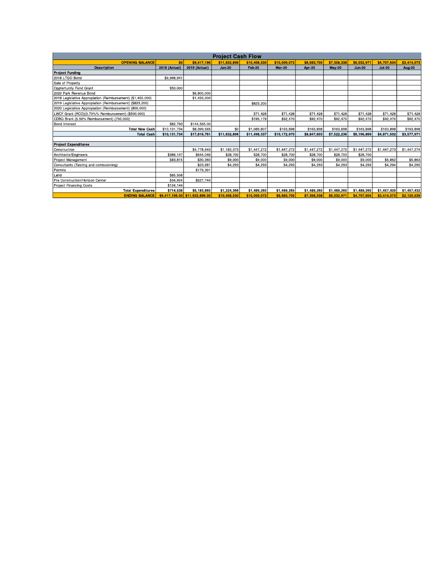| <b>Project Cash Flow</b>                                    |                 |                                |               |                         |              |             |               |               |             |             |  |  |  |  |
|-------------------------------------------------------------|-----------------|--------------------------------|---------------|-------------------------|--------------|-------------|---------------|---------------|-------------|-------------|--|--|--|--|
| <b>OPENING BALANCE</b>                                      | SO <sub>2</sub> | \$9,417,196                    | \$11,632,896  | \$10,408,530            | \$10,009,072 | \$8,683,705 | \$7,358,338   | \$6,032,97    | \$4,707,604 | \$3,414,073 |  |  |  |  |
| <b>Description</b>                                          | 2018 (Actual)   | 2019 (Actual)                  | <b>Jan 20</b> | <b>Mar 20</b><br>Feb 20 |              | Apr 20      | <b>May 20</b> | <b>Jun 20</b> | $Jul-20$    | Aug 20      |  |  |  |  |
| <b>Project Funding</b>                                      |                 |                                |               |                         |              |             |               |               |             |             |  |  |  |  |
| 2018 LTGO Bond                                              | \$9,998.941     |                                |               |                         |              |             |               |               |             |             |  |  |  |  |
| Sale of Property                                            |                 |                                |               |                         |              |             |               |               |             |             |  |  |  |  |
| Opptertunity Fund Grant                                     | \$50,000        |                                |               |                         |              |             |               |               |             |             |  |  |  |  |
| 2020 Park Revenue Bond                                      |                 | \$6,800,000                    |               |                         |              |             |               |               |             |             |  |  |  |  |
| 2018 Legislative Appropiation (Reimbursement) (\$1,455,000) |                 | \$1,455,000                    |               |                         |              |             |               |               |             |             |  |  |  |  |
| 2019 Legislative Appropiation (Reimbursement) (\$823,200)   |                 |                                |               | \$823,200               |              |             |               |               |             |             |  |  |  |  |
| 2020 Legislative Appropiation (Reimbursement) (800,000)     |                 |                                |               |                         |              |             |               |               |             |             |  |  |  |  |
| LWCF Grant (RCO)(3.70%% Reimbursement) (\$500,000)          |                 |                                |               | \$71,428                | \$71.428     | \$71,428    | \$71,428      | \$71,428      | \$71,428    | \$71,428    |  |  |  |  |
| CDBG Brant (5.56% Reimbursement) (750,000)                  |                 |                                |               | \$195,179               | \$92,470     | \$92,470    | \$92,470      | \$92,470      | \$92,470    | \$92,470    |  |  |  |  |
| <b>Bond Interest</b>                                        | \$82.793        | \$144,565.00                   |               |                         |              |             |               |               |             |             |  |  |  |  |
| <b>Total New Cash</b>                                       | \$10,131,734    | \$8,399,565                    | \$0           | \$1,089,807             | \$163,898    | \$163,898   | \$163,898     | \$163,898     | \$163,898   | \$163,898   |  |  |  |  |
| <b>Total Cash</b>                                           | \$10,131,734    | \$17,816,761                   | \$11,632,896  | \$11,498,337            | \$10,172,970 | \$8,847,603 | \$7,522,236   | \$6,196,869   | \$4,871,502 | \$3,577,971 |  |  |  |  |
|                                                             |                 |                                |               |                         |              |             |               |               |             |             |  |  |  |  |
| <b>Project Expenditures</b>                                 |                 |                                |               |                         |              |             |               |               |             |             |  |  |  |  |
| Construction                                                |                 | \$4,778,643                    | \$1,182,373   | \$1,447,272             | \$1,447,272  | \$1,447,272 | \$1,447,272   | \$1,447,272   | \$1,447,273 | \$1,447,274 |  |  |  |  |
| Architects/Engineers                                        | \$386.147       | \$644.046                      | \$28.700      | \$28,700                | \$28.700     | \$28,700    | \$28,700      | \$28.700      |             |             |  |  |  |  |
| Project Management                                          | \$83,815        | \$30,360                       | \$9,000       | \$9,000                 | \$9,000      | \$9,000     | \$9,000       | \$9,000       | \$5,862     | \$5,863     |  |  |  |  |
| Consultants (Testing and comissioning)                      |                 | \$23.681                       | \$4,293       | \$4,293                 | \$4.293      | \$4,293     | \$4.293       | \$4,293       | \$4.294     | \$4,295     |  |  |  |  |
| Permits                                                     |                 | \$179.391                      |               |                         |              |             |               |               |             |             |  |  |  |  |
| Land                                                        | \$85,508        |                                |               |                         |              |             |               |               |             |             |  |  |  |  |
| Pre Construction/Horizon Center                             | \$34,924        | \$527,744                      |               |                         |              |             |               |               |             |             |  |  |  |  |
| <b>Project Financing Costs</b>                              | \$124.144       |                                |               |                         |              |             |               |               |             |             |  |  |  |  |
| <b>Total Expenditures</b>                                   | \$714,538       | \$6,183,865                    | \$1,224,366   | \$1,489,265             | \$1,489,265  | \$1,489,265 | \$1,489,265   | \$1,489,265   | \$1,457,429 | \$1,457,432 |  |  |  |  |
| <b>ENDING BALANCE</b>                                       |                 | \$9,417,196.00 \$11,632,896.00 | \$10,408,530  | \$10,009,072            | \$8,683,705  | \$7.358.338 | \$6,032,971   | \$4,707.604   | \$3.414.073 | \$2,120,539 |  |  |  |  |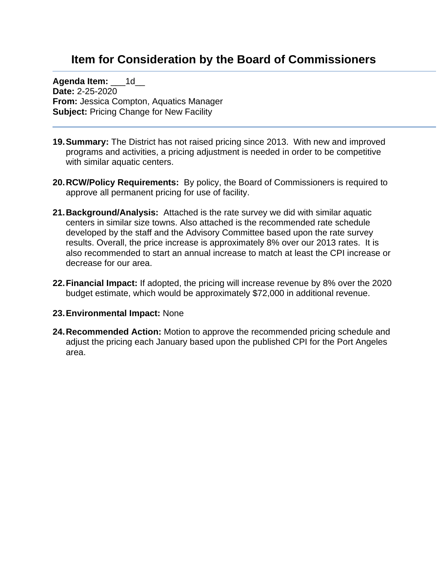## **Item for Consideration by the Board of Commissioners**

**Agenda Item: 1d Date:** 2-25-2020 **From:** Jessica Compton, Aquatics Manager **Subject:** Pricing Change for New Facility

- **19.Summary:** The District has not raised pricing since 2013. With new and improved programs and activities, a pricing adjustment is needed in order to be competitive with similar aquatic centers.
- **20.RCW/Policy Requirements:** By policy, the Board of Commissioners is required to approve all permanent pricing for use of facility.
- **21.Background/Analysis:** Attached is the rate survey we did with similar aquatic centers in similar size towns. Also attached is the recommended rate schedule developed by the staff and the Advisory Committee based upon the rate survey results. Overall, the price increase is approximately 8% over our 2013 rates. It is also recommended to start an annual increase to match at least the CPI increase or decrease for our area.
- **22.Financial Impact:** If adopted, the pricing will increase revenue by 8% over the 2020 budget estimate, which would be approximately \$72,000 in additional revenue.
- **23.Environmental Impact:** None
- **24.Recommended Action:** Motion to approve the recommended pricing schedule and adjust the pricing each January based upon the published CPI for the Port Angeles area.